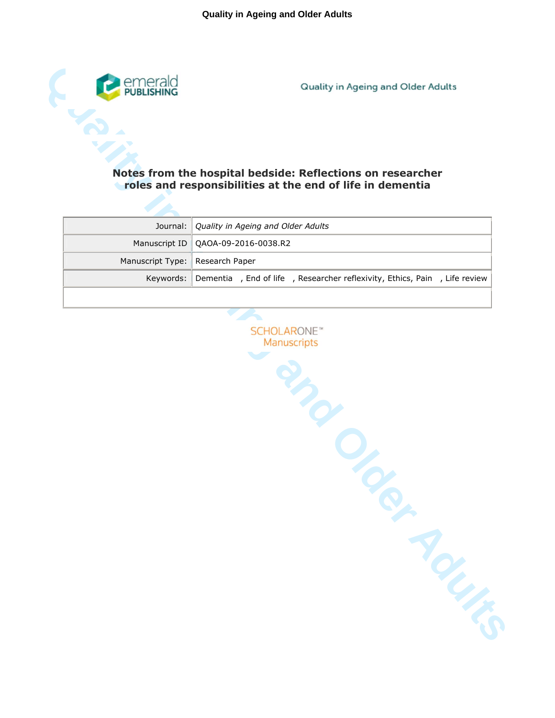

# **roles and responsibilities at the end of life in dementia**

|                                   | Journal:   Quality in Ageing and Older Adults                                           |
|-----------------------------------|-----------------------------------------------------------------------------------------|
|                                   | Manuscript ID   QAOA-09-2016-0038.R2                                                    |
| Manuscript Type:   Research Paper |                                                                                         |
|                                   | Keywords:   Dementia , End of life , Researcher reflexivity, Ethics, Pain , Life review |
|                                   |                                                                                         |

|                  | Quality in Ageing and Older Adults                                                                                      |
|------------------|-------------------------------------------------------------------------------------------------------------------------|
|                  | Notes from the hospital bedside: Reflections on researcher<br>roles and responsibilities at the end of life in dementia |
| Journal:         | Quality in Ageing and Older Adults                                                                                      |
| Manuscript ID    | QAOA-09-2016-0038.R2                                                                                                    |
| Manuscript Type: | Research Paper                                                                                                          |
| Keywords:        | Dementia , End of life , Researcher reflexivity, Ethics, Pain , Life review                                             |
|                  | <b>SCHOLARONE™</b><br>Manuscripts<br><b>CRAN TONICATION</b>                                                             |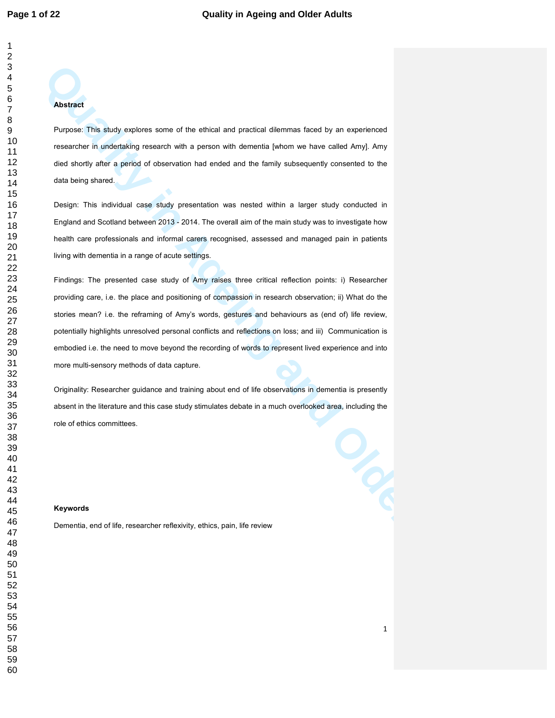# **Abstract**

Purpose: This study explores some of the ethical and practical dilemmas faced by an experienced researcher in undertaking research with a person with dementia [whom we have called Amy]. Amy died shortly after a period of observation had ended and the family subsequently consented to the data being shared.

Design: This individual case study presentation was nested within a larger study conducted in England and Scotland between 2013 - 2014. The overall aim of the main study was to investigate how health care professionals and informal carers recognised, assessed and managed pain in patients living with dementia in a range of acute settings.

**Alalmed**<br>**Papoce. The axidy scores some of the entred and practical distinues factor by an experiment<br>resultation in conference and one procedure and the memorial holder with the older Adult Angle<br>and arony and a strength** Findings: The presented case study of Amy raises three critical reflection points: i) Researcher providing care, i.e. the place and positioning of compassion in research observation; ii) What do the stories mean? i.e. the reframing of Amy's words, gestures and behaviours as (end of) life review, potentially highlights unresolved personal conflicts and reflections on loss; and iii) Communication is embodied i.e. the need to move beyond the recording of words to represent lived experience and into more multi-sensory methods of data capture.

Originality: Researcher guidance and training about end of life observations in dementia is presently absent in the literature and this case study stimulates debate in a much overlooked area, including the role of ethics committees.

## **Keywords**

Dementia, end of life, researcher reflexivity, ethics, pain, life review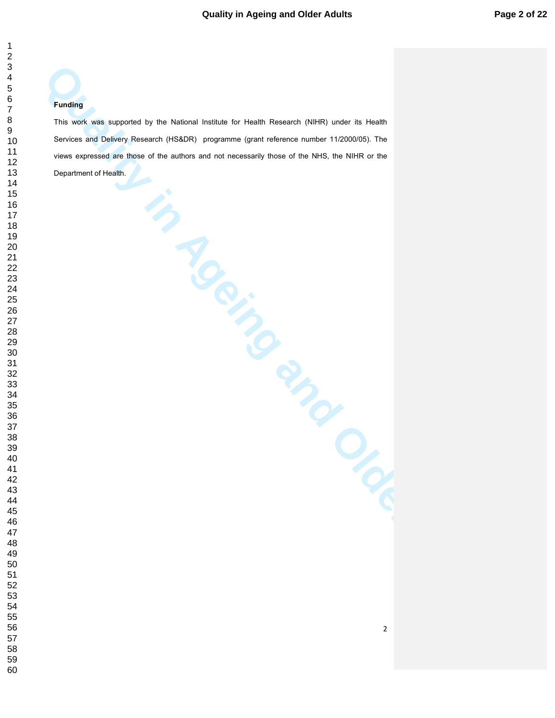

**Punding**<br>The visible are supposed by the National Holidate for Health Research 20145; under the Health<br>Schwarzen and Punding Placeaux profession, program to gent independent of the NHK at the<br>Constituted Christian Place o This work was supported by the National Institute for Health Research (NIHR) under its Health Services and Delivery Research (HS&DR) programme (grant reference number 11/2000/05). The views expressed are those of the authors and not necessarily those of the NHS, the NIHR or the Department of Health.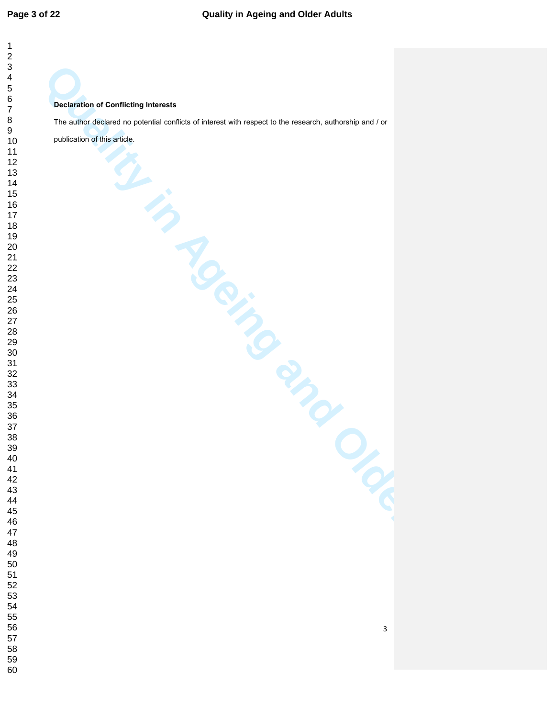**Declaration of Conflicting Interests** 

**Decision of Conflicting Internet**<br>The subject to grand conflict in Adults of Marked with version to the research subscription of the<br>decision of the property of the subject of Marked with version to the research subscript The author declared no potential conflicts of interest with respect to the research, authorship and / or

publication of this article.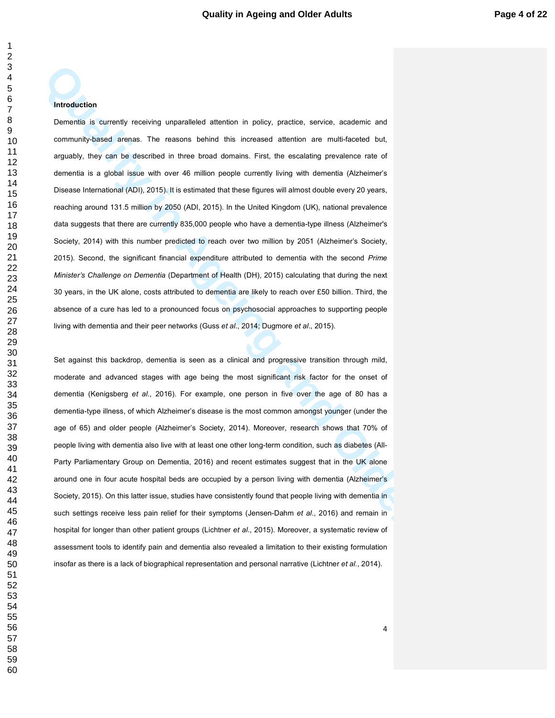

# **Introduction**

Dementia is currently receiving unparalleled attention in policy, practice, service, academic and community-based arenas. The reasons behind this increased attention are multi-faceted but, arguably, they can be described in three broad domains. First, the escalating prevalence rate of dementia is a global issue with over 46 million people currently living with dementia (Alzheimer's Disease International (ADI), 2015). It is estimated that these figures will almost double every 20 years, reaching around 131.5 million by 2050 (ADI, 2015). In the United Kingdom (UK), national prevalence data suggests that there are currently 835,000 people who have a dementia-type illness (Alzheimer's Society, 2014) with this number predicted to reach over two million by 2051 (Alzheimer's Society, 2015). Second, the significant financial expenditure attributed to dementia with the second *Prime Minister's Challenge on Dementia* (Department of Health (DH), 2015) calculating that during the next 30 years, in the UK alone, costs attributed to dementia are likely to reach over £50 billion. Third, the absence of a cure has led to a pronounced focus on psychosocial approaches to supporting people living with dementia and their peer networks (Guss *et al*., 2014; Dugmore *et al*., 2015).

**Methodistics**<br> **Converts is conselly reavality to provide the station in profits, earther, and entire and Older Adults in Converts in Converts in Agents and Converts in Converts in Converts in Agents and Converts in Agent** Set against this backdrop, dementia is seen as a clinical and progressive transition through mild, moderate and advanced stages with age being the most significant risk factor for the onset of dementia (Kenigsberg *et al*., 2016). For example, one person in five over the age of 80 has a dementia-type illness, of which Alzheimer's disease is the most common amongst younger (under the age of 65) and older people (Alzheimer's Society, 2014). Moreover, research shows that 70% of people living with dementia also live with at least one other long-term condition, such as diabetes (All-Party Parliamentary Group on Dementia, 2016) and recent estimates suggest that in the UK alone around one in four acute hospital beds are occupied by a person living with dementia (Alzheimer's Society, 2015). On this latter issue, studies have consistently found that people living with dementia in such settings receive less pain relief for their symptoms (Jensen-Dahm *et al*., 2016) and remain in hospital for longer than other patient groups (Lichtner *et al*., 2015). Moreover, a systematic review of assessment tools to identify pain and dementia also revealed a limitation to their existing formulation insofar as there is a lack of biographical representation and personal narrative (Lichtner *et al*., 2014).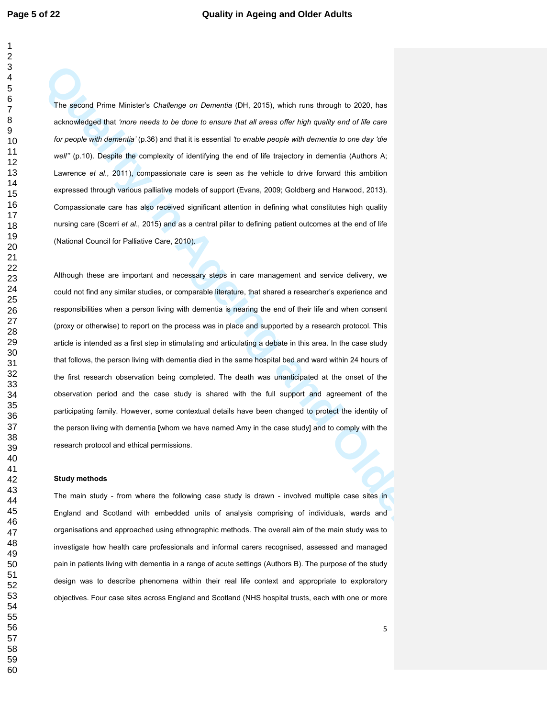The second Prime Minister's *Challenge on Dementia* (DH, 2015), which runs through to 2020, has acknowledged that *'more needs to be done to ensure that all areas offer high quality end of life care for people with dementia'* (p.36) and that it is essential *'to enable people with dementia to one day 'die well''* (p.10). Despite the complexity of identifying the end of life trajectory in dementia (Authors A; Lawrence *et al*., 2011), compassionate care is seen as the vehicle to drive forward this ambition expressed through various palliative models of support (Evans, 2009; Goldberg and Harwood, 2013). Compassionate care has also received significant attention in defining what constitutes high quality nursing care (Scerri *et al*., 2015) and as a central pillar to defining patient outcomes at the end of life (National Council for Palliative Care, 2010).

The second Prime Minister's Challenge on Denvede (01), 2016, which runs through to 222, the second system of the Convergister of the Convergister of the Convergister of the Convergister of the Convergister of the Convergis Although these are important and necessary steps in care management and service delivery, we could not find any similar studies, or comparable literature, that shared a researcher's experience and responsibilities when a person living with dementia is nearing the end of their life and when consent (proxy or otherwise) to report on the process was in place and supported by a research protocol. This article is intended as a first step in stimulating and articulating a debate in this area. In the case study that follows, the person living with dementia died in the same hospital bed and ward within 24 hours of the first research observation being completed. The death was unanticipated at the onset of the observation period and the case study is shared with the full support and agreement of the participating family. However, some contextual details have been changed to protect the identity of the person living with dementia [whom we have named Amy in the case study] and to comply with the research protocol and ethical permissions.

## **Study methods**

The main study - from where the following case study is drawn - involved multiple case sites in England and Scotland with embedded units of analysis comprising of individuals, wards and organisations and approached using ethnographic methods. The overall aim of the main study was to investigate how health care professionals and informal carers recognised, assessed and managed pain in patients living with dementia in a range of acute settings (Authors B). The purpose of the study design was to describe phenomena within their real life context and appropriate to exploratory objectives. Four case sites across England and Scotland (NHS hospital trusts, each with one or more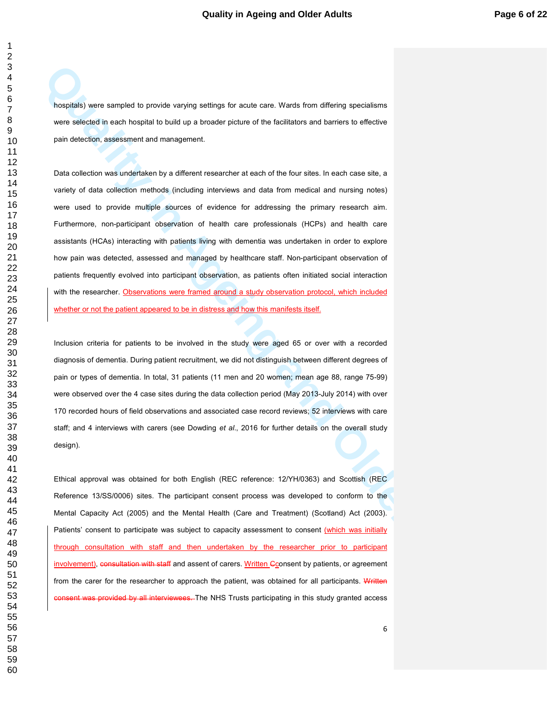hospitals) were sampled to provide varying settings for acute care. Wards from differing specialisms were selected in each hospital to build up a broader picture of the facilitators and barriers to effective pain detection, assessment and management.

**Installation and structure and the structure of the structure of the structure of the structure of the structure of the structure of the structure continue of the structure of the structure of the structure of the structu** Data collection was undertaken by a different researcher at each of the four sites. In each case site, a variety of data collection methods (including interviews and data from medical and nursing notes) were used to provide multiple sources of evidence for addressing the primary research aim. Furthermore, non-participant observation of health care professionals (HCPs) and health care assistants (HCAs) interacting with patients living with dementia was undertaken in order to explore how pain was detected, assessed and managed by healthcare staff. Non-participant observation of patients frequently evolved into participant observation, as patients often initiated social interaction with the researcher. Observations were framed around a study observation protocol, which included whether or not the patient appeared to be in distress and how this manifests itself.

Inclusion criteria for patients to be involved in the study were aged 65 or over with a recorded diagnosis of dementia. During patient recruitment, we did not distinguish between different degrees of pain or types of dementia. In total, 31 patients (11 men and 20 women; mean age 88, range 75-99) were observed over the 4 case sites during the data collection period (May 2013-July 2014) with over 170 recorded hours of field observations and associated case record reviews; 52 interviews with care staff; and 4 interviews with carers (see Dowding *et al*., 2016 for further details on the overall study design).

Ethical approval was obtained for both English (REC reference: 12/YH/0363) and Scottish (REC Reference 13/SS/0006) sites. The participant consent process was developed to conform to the Mental Capacity Act (2005) and the Mental Health (Care and Treatment) (Scotland) Act (2003). Patients' consent to participate was subject to capacity assessment to consent (which was initially through consultation with staff and then undertaken by the researcher prior to participant involvement), consultation with staff and assent of carers. Written Gconsent by patients, or agreement from the carer for the researcher to approach the patient, was obtained for all participants. Written consent was provided by all interviewees. The NHS Trusts participating in this study granted access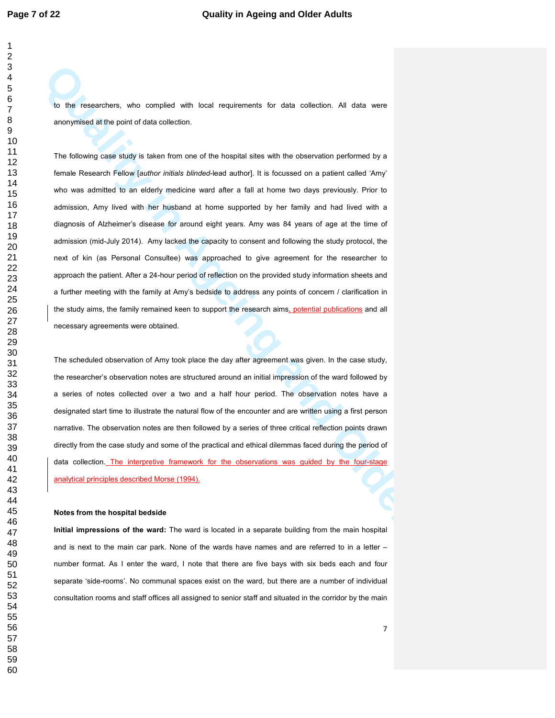to the researchers, who complied with local requirements for data collection. All data were anonymised at the point of data collection.

**It the researches, which complete with local requirements for cisa collection,** All data were encoupyinvest stiller point of case collection. The interpretation of the point of the point of the collection of the collectio The following case study is taken from one of the hospital sites with the observation performed by a female Research Fellow [*author initials blinded*-lead author]. It is focussed on a patient called 'Amy' who was admitted to an elderly medicine ward after a fall at home two days previously. Prior to admission, Amy lived with her husband at home supported by her family and had lived with a diagnosis of Alzheimer's disease for around eight years. Amy was 84 years of age at the time of admission (mid-July 2014). Amy lacked the capacity to consent and following the study protocol, the next of kin (as Personal Consultee) was approached to give agreement for the researcher to approach the patient. After a 24-hour period of reflection on the provided study information sheets and a further meeting with the family at Amy's bedside to address any points of concern / clarification in the study aims, the family remained keen to support the research aims, potential publications and all necessary agreements were obtained.

The scheduled observation of Amy took place the day after agreement was given. In the case study, the researcher's observation notes are structured around an initial impression of the ward followed by a series of notes collected over a two and a half hour period. The observation notes have a designated start time to illustrate the natural flow of the encounter and are written using a first person narrative. The observation notes are then followed by a series of three critical reflection points drawn directly from the case study and some of the practical and ethical dilemmas faced during the period of data collection. The interpretive framework for the observations was guided by the four-stage analytical principles described Morse (1994).

# **Notes from the hospital bedside**

**Initial impressions of the ward:** The ward is located in a separate building from the main hospital and is next to the main car park. None of the wards have names and are referred to in a letter – number format. As I enter the ward, I note that there are five bays with six beds each and four separate 'side-rooms'. No communal spaces exist on the ward, but there are a number of individual consultation rooms and staff offices all assigned to senior staff and situated in the corridor by the main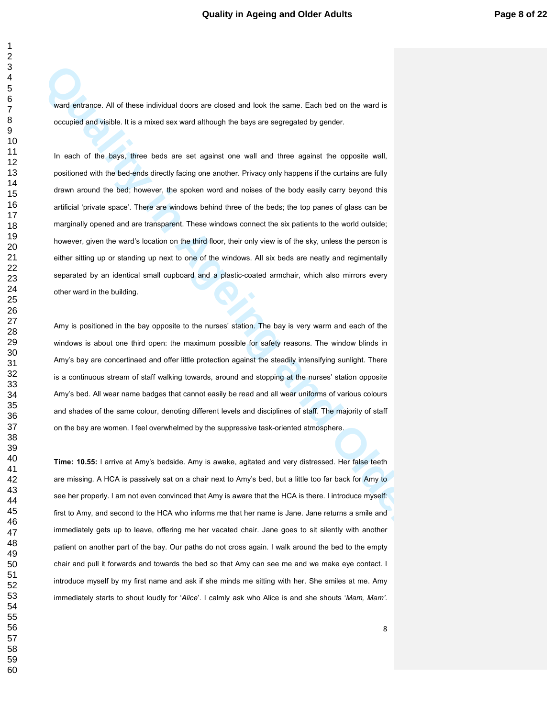ward entrance. All of these individual doors are closed and look the same. Each bed on the ward is occupied and visible. It is a mixed sex ward although the bays are segregated by gender.

**Real errowser.** All of these individual doors are dosed and look the same. Each bed on the earth is equal exactly interesting computed by the matter of the same of the same of the same of the same of the same of the same In each of the bays, three beds are set against one wall and three against the opposite wall, positioned with the bed-ends directly facing one another. Privacy only happens if the curtains are fully drawn around the bed; however, the spoken word and noises of the body easily carry beyond this artificial 'private space'. There are windows behind three of the beds; the top panes of glass can be marginally opened and are transparent. These windows connect the six patients to the world outside; however, given the ward's location on the third floor, their only view is of the sky, unless the person is either sitting up or standing up next to one of the windows. All six beds are neatly and regimentally separated by an identical small cupboard and a plastic-coated armchair, which also mirrors every other ward in the building.

Amy is positioned in the bay opposite to the nurses' station. The bay is very warm and each of the windows is about one third open: the maximum possible for safety reasons. The window blinds in Amy's bay are concertinaed and offer little protection against the steadily intensifying sunlight. There is a continuous stream of staff walking towards, around and stopping at the nurses' station opposite Amy's bed. All wear name badges that cannot easily be read and all wear uniforms of various colours and shades of the same colour, denoting different levels and disciplines of staff. The majority of staff on the bay are women. I feel overwhelmed by the suppressive task-oriented atmosphere.

**Time: 10.55:** I arrive at Amy's bedside. Amy is awake, agitated and very distressed. Her false teeth are missing. A HCA is passively sat on a chair next to Amy's bed, but a little too far back for Amy to see her properly. I am not even convinced that Amy is aware that the HCA is there. I introduce myself: first to Amy, and second to the HCA who informs me that her name is Jane. Jane returns a smile and immediately gets up to leave, offering me her vacated chair. Jane goes to sit silently with another patient on another part of the bay. Our paths do not cross again. I walk around the bed to the empty chair and pull it forwards and towards the bed so that Amy can see me and we make eye contact. I introduce myself by my first name and ask if she minds me sitting with her. She smiles at me. Amy immediately starts to shout loudly for '*Alice*'. I calmly ask who Alice is and she shouts '*Mam, Mam'*.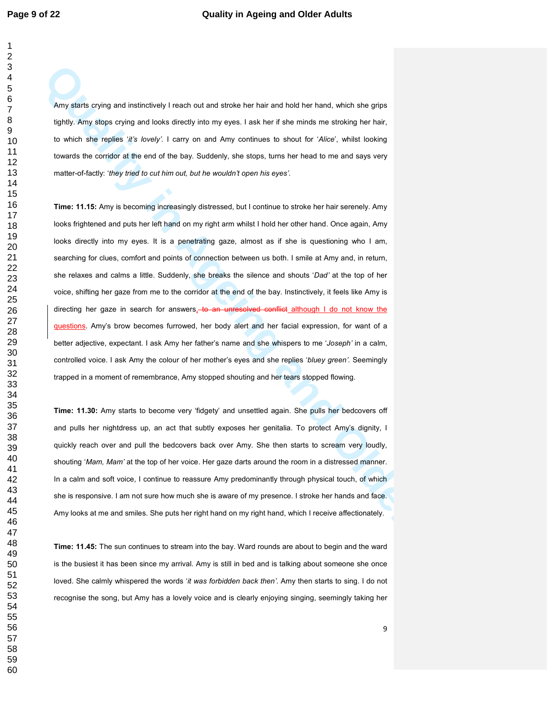Amy starts crying and instinctively I reach out and stroke her hair and hold her hand, which she grips tightly. Amy stops crying and looks directly into my eyes. I ask her if she minds me stroking her hair, to which she replies '*it's lovely'.* I carry on and Amy continues to shout for '*Alice*', whilst looking towards the corridor at the end of the bay*.* Suddenly, she stops, turns her head to me and says very matter-of-factly: '*they tried to cut him out, but he wouldn't open his eyes'*.

Anny darks anying and institutely introduced and statistic for their and hold the handed older the statistic properties.<br>
Let wood also registe you you let colles be service is and alony in also for all discussions to mean **Time: 11.15:** Amy is becoming increasingly distressed, but I continue to stroke her hair serenely. Amy looks frightened and puts her left hand on my right arm whilst I hold her other hand. Once again, Amy looks directly into my eyes. It is a penetrating gaze, almost as if she is questioning who I am, searching for clues, comfort and points of connection between us both. I smile at Amy and, in return, she relaxes and calms a little. Suddenly, she breaks the silence and shouts '*Dad'* at the top of her voice, shifting her gaze from me to the corridor at the end of the bay. Instinctively, it feels like Amy is directing her gaze in search for answers, to an unresolved conflict although I do not know the questions. Amy's brow becomes furrowed, her body alert and her facial expression, for want of a better adjective, expectant. I ask Amy her father's name and she whispers to me '*Joseph'* in a calm, controlled voice. I ask Amy the colour of her mother's eyes and she replies '*bluey green'*. Seemingly trapped in a moment of remembrance, Amy stopped shouting and her tears stopped flowing.

**Time: 11.30:** Amy starts to become very 'fidgety' and unsettled again. She pulls her bedcovers off and pulls her nightdress up, an act that subtly exposes her genitalia. To protect Amy's dignity, I quickly reach over and pull the bedcovers back over Amy. She then starts to scream very loudly, shouting '*Mam, Mam'* at the top of her voice. Her gaze darts around the room in a distressed manner. In a calm and soft voice, I continue to reassure Amy predominantly through physical touch, of which she is responsive. I am not sure how much she is aware of my presence. I stroke her hands and face. Amy looks at me and smiles. She puts her right hand on my right hand, which I receive affectionately.

**Time: 11.45:** The sun continues to stream into the bay. Ward rounds are about to begin and the ward is the busiest it has been since my arrival. Amy is still in bed and is talking about someone she once loved. She calmly whispered the words '*it was forbidden back then'*. Amy then starts to sing. I do not recognise the song, but Amy has a lovely voice and is clearly enjoying singing, seemingly taking her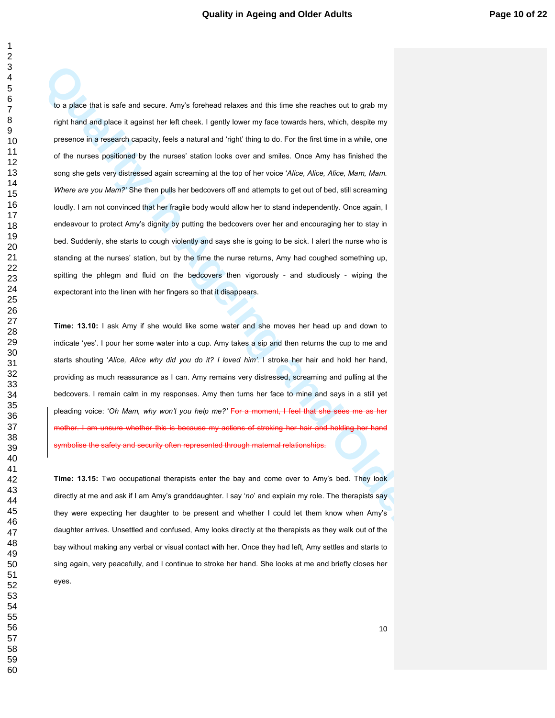**It is a place that is safe and excute.** Ample foremal tributes and this time the ventures out to give my place that is a place to a straight be very include the very the consideration of the consideration of the considera to a place that is safe and secure. Amy's forehead relaxes and this time she reaches out to grab my right hand and place it against her left cheek. I gently lower my face towards hers, which, despite my presence in a research capacity, feels a natural and 'right' thing to do. For the first time in a while, one of the nurses positioned by the nurses' station looks over and smiles. Once Amy has finished the song she gets very distressed again screaming at the top of her voice '*Alice, Alice, Alice, Mam, Mam. Where are you Mam?'* She then pulls her bedcovers off and attempts to get out of bed, still screaming loudly. I am not convinced that her fragile body would allow her to stand independently. Once again, I endeavour to protect Amy's dignity by putting the bedcovers over her and encouraging her to stay in bed. Suddenly, she starts to cough violently and says she is going to be sick. I alert the nurse who is standing at the nurses' station, but by the time the nurse returns, Amy had coughed something up, spitting the phlegm and fluid on the bedcovers then vigorously - and studiously - wiping the expectorant into the linen with her fingers so that it disappears.

**Time: 13.10:** I ask Amy if she would like some water and she moves her head up and down to indicate 'yes'. I pour her some water into a cup. Amy takes a sip and then returns the cup to me and starts shouting '*Alice, Alice why did you do it? I loved him'*. I stroke her hair and hold her hand, providing as much reassurance as I can. Amy remains very distressed, screaming and pulling at the bedcovers. I remain calm in my responses. Amy then turns her face to mine and says in a still yet pleading voice: '*Oh Mam, why won't you help me?'* For a moment, I feel that she sees me as her mother. I am unsure whether this is because my actions of stroking her hair and holding her hand symbolise the safety and security often represented through maternal relationships.

**Time: 13.15:** Two occupational therapists enter the bay and come over to Amy's bed. They look directly at me and ask if I am Amy's granddaughter. I say '*no*' and explain my role. The therapists say they were expecting her daughter to be present and whether I could let them know when Amy's daughter arrives. Unsettled and confused, Amy looks directly at the therapists as they walk out of the bay without making any verbal or visual contact with her. Once they had left, Amy settles and starts to sing again, very peacefully, and I continue to stroke her hand. She looks at me and briefly closes her eyes.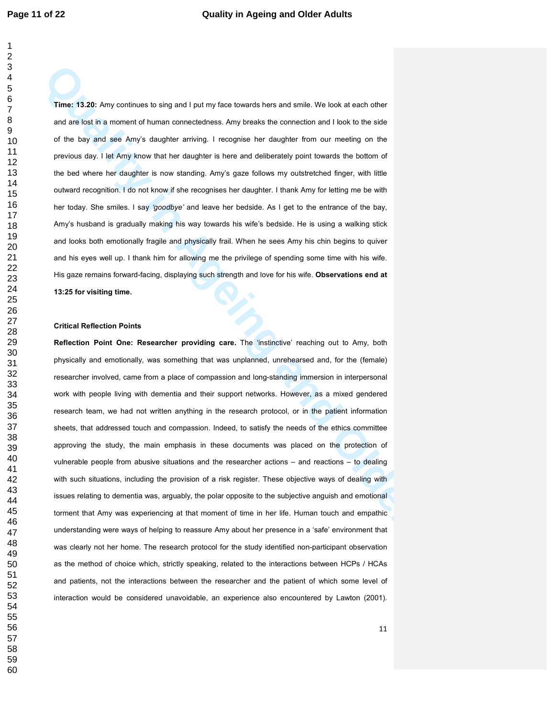**Time: 13.20:** Amy continues to sing and I put my face towards hers and smile. We look at each other and are lost in a moment of human connectedness. Amy breaks the connection and I look to the side of the bay and see Amy's daughter arriving. I recognise her daughter from our meeting on the previous day. I let Amy know that her daughter is here and deliberately point towards the bottom of the bed where her daughter is now standing. Amy's gaze follows my outstretched finger, with little outward recognition. I do not know if she recognises her daughter. I thank Amy for letting me be with her today. She smiles. I say *'goodbye'* and leave her bedside. As I get to the entrance of the bay, Amy's husband is gradually making his way towards his wife's bedside. He is using a walking stick and looks both emotionally fragile and physically frail. When he sees Amy his chin begins to quiver and his eyes well up. I thank him for allowing me the privilege of spending some time with his wife. His gaze remains forward-facing, displaying such strength and love for his wife. **Observations end at 13:25 for visiting time.**

#### **Critical Reflection Points**

These 15.20; Any cordines to airo and I put my face towards here entred into anti-Vie Cot At each other whose the Vision of the Vision of the Vision of the Vision of the Vision of the Vision of the Vision of the Vision of **Reflection Point One: Researcher providing care.** The 'instinctive' reaching out to Amy, both physically and emotionally, was something that was unplanned, unrehearsed and, for the (female) researcher involved, came from a place of compassion and long-standing immersion in interpersonal work with people living with dementia and their support networks. However, as a mixed gendered research team, we had not written anything in the research protocol, or in the patient information sheets, that addressed touch and compassion. Indeed, to satisfy the needs of the ethics committee approving the study, the main emphasis in these documents was placed on the protection of vulnerable people from abusive situations and the researcher actions – and reactions – to dealing with such situations, including the provision of a risk register. These objective ways of dealing with issues relating to dementia was, arguably, the polar opposite to the subjective anguish and emotional torment that Amy was experiencing at that moment of time in her life. Human touch and empathic understanding were ways of helping to reassure Amy about her presence in a 'safe' environment that was clearly not her home. The research protocol for the study identified non-participant observation as the method of choice which, strictly speaking, related to the interactions between HCPs / HCAs and patients, not the interactions between the researcher and the patient of which some level of interaction would be considered unavoidable, an experience also encountered by Lawton (2001).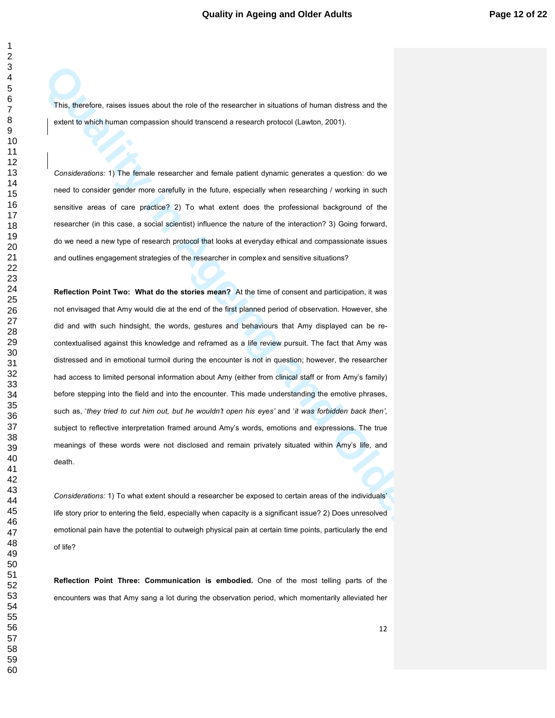This, therefore, raises issues about the role of the researcher in situations of human distress and the extent to which human compassion should transcend a research protocol (Lawton, 2001).

*Considerations:* 1) The female researcher and female patient dynamic generates a question: do we need to consider gender more carefully in the future, especially when researching / working in such sensitive areas of care practice? 2) To what extent does the professional background of the researcher (in this case, a social scientist) influence the nature of the interaction? 3) Going forward, do we need a new type of research protocol that looks at everyday ethical and compassionate issues and outlines engagement strategies of the researcher in complex and sensitive situations?

This, therefore, raises issues about the role of the researcher in studious of further disters and the examples of a second policy of the role of the second or the second or the second or the second or the second or the se **Reflection Point Two: What do the stories mean?** At the time of consent and participation, it was not envisaged that Amy would die at the end of the first planned period of observation. However, she did and with such hindsight, the words, gestures and behaviours that Amy displayed can be recontextualised against this knowledge and reframed as a life review pursuit. The fact that Amy was distressed and in emotional turmoil during the encounter is not in question; however, the researcher had access to limited personal information about Amy (either from clinical staff or from Amy's family) before stepping into the field and into the encounter. This made understanding the emotive phrases, such as, '*they tried to cut him out, but he wouldn't open his eyes'* and '*it was forbidden back then'*, subject to reflective interpretation framed around Amy's words, emotions and expressions. The true meanings of these words were not disclosed and remain privately situated within Amy's life, and death.

*Considerations:* 1) To what extent should a researcher be exposed to certain areas of the individuals' life story prior to entering the field, especially when capacity is a significant issue? 2) Does unresolved emotional pain have the potential to outweigh physical pain at certain time points, particularly the end of life?

**Reflection Point Three: Communication is embodied.** One of the most telling parts of the encounters was that Amy sang a lot during the observation period, which momentarily alleviated her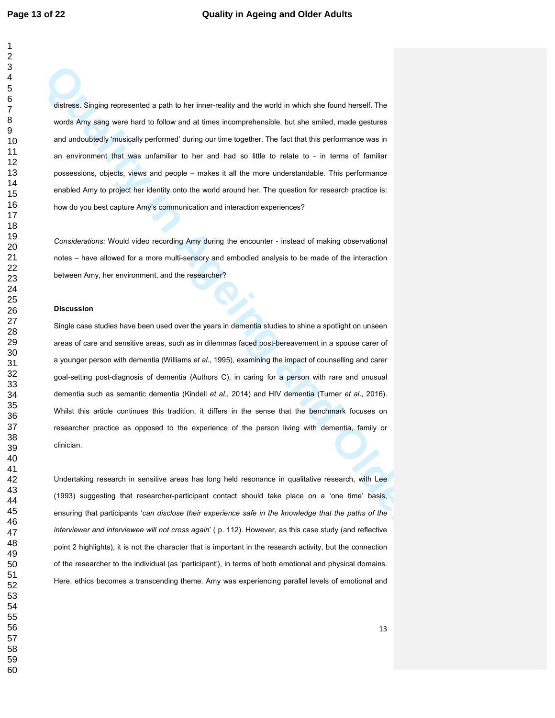distress. Singing represented a path to her inner-reality and the world in which she found herself. The words Amy sang were hard to follow and at times incomprehensible, but she smiled, made gestures and undoubtedly 'musically performed' during our time together. The fact that this performance was in an environment that was unfamiliar to her and had so little to relate to - in terms of familiar possessions, objects, views and people – makes it all the more understandable. This performance enabled Amy to project her identity onto the world around her. The question for research practice is: how do you best capture Amy's communication and interaction experiences?

*Considerations:* Would video recording Amy during the encounter - instead of making observational notes – have allowed for a more multi-sensory and embodied analysis to be made of the interaction between Amy, her environment, and the researcher?

# **Discussion**

**Sidens:** Graphy superements a publisher internetially and the world in which are found here at the space of the space of the space of the space of the space of the space of the space of the space of the space of the space Single case studies have been used over the years in dementia studies to shine a spotlight on unseen areas of care and sensitive areas, such as in dilemmas faced post-bereavement in a spouse carer of a younger person with dementia (Williams *et al*., 1995), examining the impact of counselling and carer goal-setting post-diagnosis of dementia (Authors C), in caring for a person with rare and unusual dementia such as semantic dementia (Kindell *et al*., 2014) and HIV dementia (Turner *et al*., 2016). Whilst this article continues this tradition, it differs in the sense that the benchmark focuses on researcher practice as opposed to the experience of the person living with dementia, family or clinician.

Undertaking research in sensitive areas has long held resonance in qualitative research, with Lee (1993) suggesting that researcher-participant contact should take place on a 'one time' basis, ensuring that participants '*can disclose their experience safe in the knowledge that the paths of the interviewer and interviewee will not cross again*' ( p. 112). However, as this case study (and reflective point 2 highlights), it is not the character that is important in the research activity, but the connection of the researcher to the individual (as 'participant'), in terms of both emotional and physical domains. Here, ethics becomes a transcending theme. Amy was experiencing parallel levels of emotional and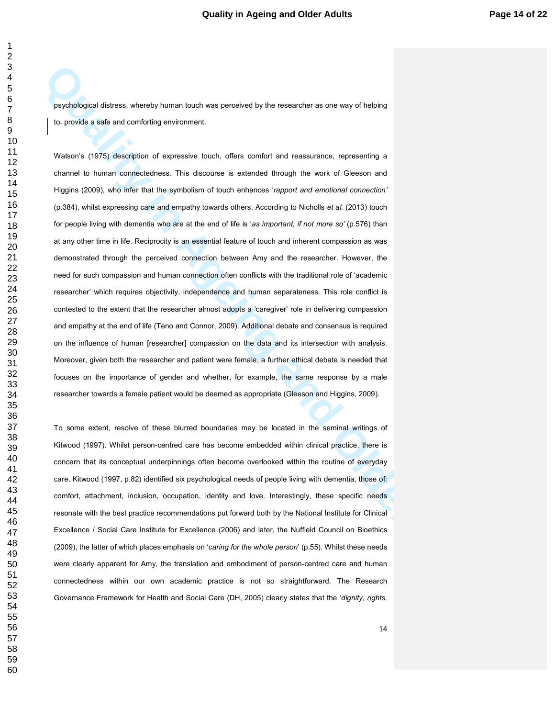psychological distress, whereby human touch was perceived by the researcher as one way of helping to- provide a safe and comforting environment.

**Excludional dialents, elserien/humin lacci eus perceived le très recentes an ont eury of leights<br>
Le provide a sele and on-to-trep encircles tangentes metalles comments of exclusions of the properties of the<br>
While the su** Watson's (1975) description of expressive touch, offers comfort and reassurance, representing a channel to human connectedness. This discourse is extended through the work of Gleeson and Higgins (2009), who infer that the symbolism of touch enhances '*rapport and emotional connection'* (p.384), whilst expressing care and empathy towards others. According to Nicholls *et al*. (2013) touch for people living with dementia who are at the end of life is '*as important, if not more so'* (p.576) than at any other time in life. Reciprocity is an essential feature of touch and inherent compassion as was demonstrated through the perceived connection between Amy and the researcher. However, the need for such compassion and human connection often conflicts with the traditional role of 'academic researcher' which requires objectivity, independence and human separateness. This role conflict is contested to the extent that the researcher almost adopts a 'caregiver' role in delivering compassion and empathy at the end of life (Teno and Connor, 2009). Additional debate and consensus is required on the influence of human [researcher] compassion on the data and its intersection with analysis. Moreover, given both the researcher and patient were female, a further ethical debate is needed that focuses on the importance of gender and whether, for example, the same response by a male researcher towards a female patient would be deemed as appropriate (Gleeson and Higgins, 2009).

To some extent, resolve of these blurred boundaries may be located in the seminal writings of Kitwood (1997). Whilst person-centred care has become embedded within clinical practice, there is concern that its conceptual underpinnings often become overlooked within the routine of everyday care. Kitwood (1997, p.82) identified six psychological needs of people living with dementia, those of: comfort, attachment, inclusion, occupation, identity and love. Interestingly, these specific needs resonate with the best practice recommendations put forward both by the National Institute for Clinical Excellence / Social Care Institute for Excellence (2006) and later, the Nuffield Council on Bioethics (2009), the latter of which places emphasis on '*caring for the whole person*' (p.55). Whilst these needs were clearly apparent for Amy, the translation and embodiment of person-centred care and human connectedness within our own academic practice is not so straightforward. The Research Governance Framework for Health and Social Care (DH, 2005) clearly states that the '*dignity, rights,*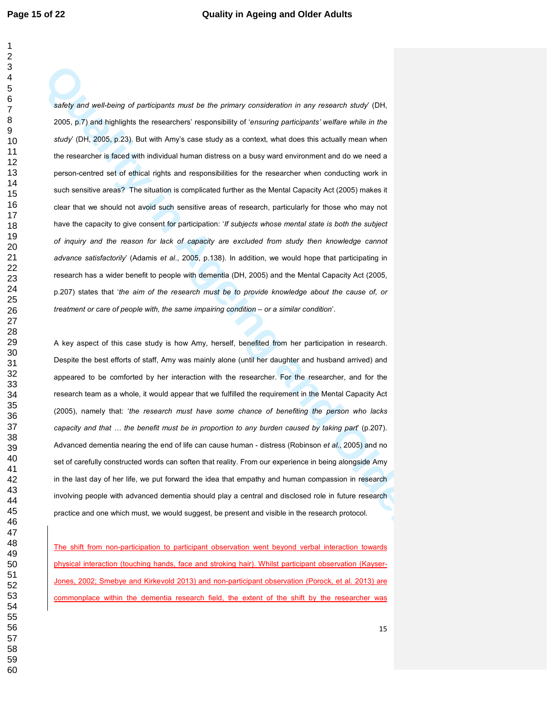anality and votational procedure must be the protosynomization to any recessor thing (D.I.<br>
2016, 37 justifying its tree weeksted stagonably of stagonably considered and the stagonably and<br>  $\alpha$  and  $\beta$  in Ageinably is t *safety and well-being of participants must be the primary consideration in any research study*' (DH, 2005, p.7) and highlights the researchers' responsibility of '*ensuring participants' welfare while in the study*' (DH, 2005, p.23). But with Amy's case study as a context, what does this actually mean when the researcher is faced with individual human distress on a busy ward environment and do we need a person-centred set of ethical rights and responsibilities for the researcher when conducting work in such sensitive areas? The situation is complicated further as the Mental Capacity Act (2005) makes it clear that we should not avoid such sensitive areas of research, particularly for those who may not have the capacity to give consent for participation: '*If subjects whose mental state is both the subject of inquiry and the reason for lack of capacity are excluded from study then knowledge cannot advance satisfactorily*' (Adamis *et al*., 2005, p.138). In addition, we would hope that participating in research has a wider benefit to people with dementia (DH, 2005) and the Mental Capacity Act (2005, p.207) states that '*the aim of the research must be to provide knowledge about the cause of, or treatment or care of people with, the same impairing condition – or a similar condition*'.

A key aspect of this case study is how Amy, herself, benefited from her participation in research. Despite the best efforts of staff, Amy was mainly alone (until her daughter and husband arrived) and appeared to be comforted by her interaction with the researcher. For the researcher, and for the research team as a whole, it would appear that we fulfilled the requirement in the Mental Capacity Act (2005), namely that: '*the research must have some chance of benefiting the person who lacks capacity and that , the benefit must be in proportion to any burden caused by taking part*' (p.207). Advanced dementia nearing the end of life can cause human - distress (Robinson *et al*., 2005) and no set of carefully constructed words can soften that reality. From our experience in being alongside Amy in the last day of her life, we put forward the idea that empathy and human compassion in research involving people with advanced dementia should play a central and disclosed role in future research practice and one which must, we would suggest, be present and visible in the research protocol.

The shift from non-participation to participant observation went beyond verbal interaction towards physical interaction (touching hands, face and stroking hair). Whilst participant observation (Kayser-Jones, 2002; Smebye and Kirkevold 2013) and non-participant observation (Porock, et al. 2013) are commonplace within the dementia research field, the extent of the shift by the researcher was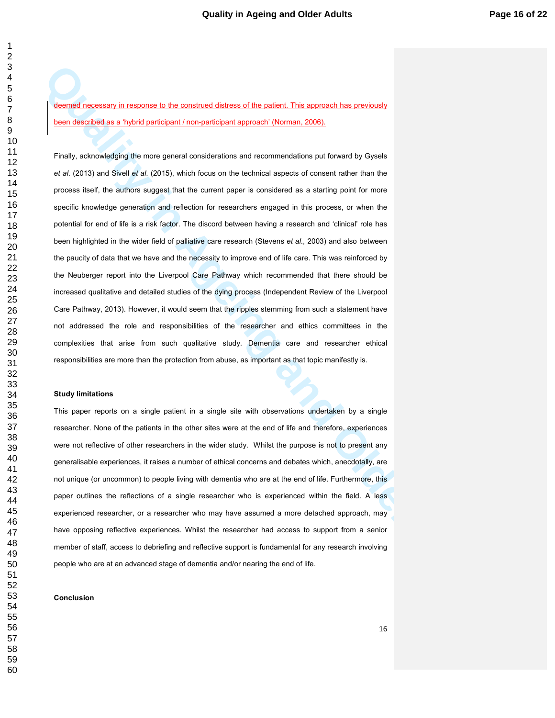deemed necessary in response to the construed distress of the patient. This approach has previously been described as a 'hybrid participant / non-participant approach' (Norman, 2006).

**EXERCISE AND THE CONSULTER CONSULTER CONSULTER CONSULTER CONSULTER CONSULTER CONSULTER CONSULTER CONSULTER CONSULTER CONSULTER CONSULTER CONSULTER CONSULTER CONSULTER CONSULTER CONSULTER CONSULTER CONSULTER CONSULTER CONS** Finally, acknowledging the more general considerations and recommendations put forward by Gysels *et al*. (2013) and Sivell *et al*. (2015), which focus on the technical aspects of consent rather than the process itself, the authors suggest that the current paper is considered as a starting point for more specific knowledge generation and reflection for researchers engaged in this process, or when the potential for end of life is a risk factor. The discord between having a research and 'clinical' role has been highlighted in the wider field of palliative care research (Stevens *et al*., 2003) and also between the paucity of data that we have and the necessity to improve end of life care. This was reinforced by the Neuberger report into the Liverpool Care Pathway which recommended that there should be increased qualitative and detailed studies of the dying process (Independent Review of the Liverpool Care Pathway, 2013). However, it would seem that the ripples stemming from such a statement have not addressed the role and responsibilities of the researcher and ethics committees in the complexities that arise from such qualitative study. Dementia care and researcher ethical responsibilities are more than the protection from abuse, as important as that topic manifestly is.

#### **Study limitations**

This paper reports on a single patient in a single site with observations undertaken by a single researcher. None of the patients in the other sites were at the end of life and therefore, experiences were not reflective of other researchers in the wider study. Whilst the purpose is not to present any generalisable experiences, it raises a number of ethical concerns and debates which, anecdotally, are not unique (or uncommon) to people living with dementia who are at the end of life. Furthermore, this paper outlines the reflections of a single researcher who is experienced within the field. A less experienced researcher, or a researcher who may have assumed a more detached approach, may have opposing reflective experiences. Whilst the researcher had access to support from a senior member of staff, access to debriefing and reflective support is fundamental for any research involving people who are at an advanced stage of dementia and/or nearing the end of life.

#### **Conclusion**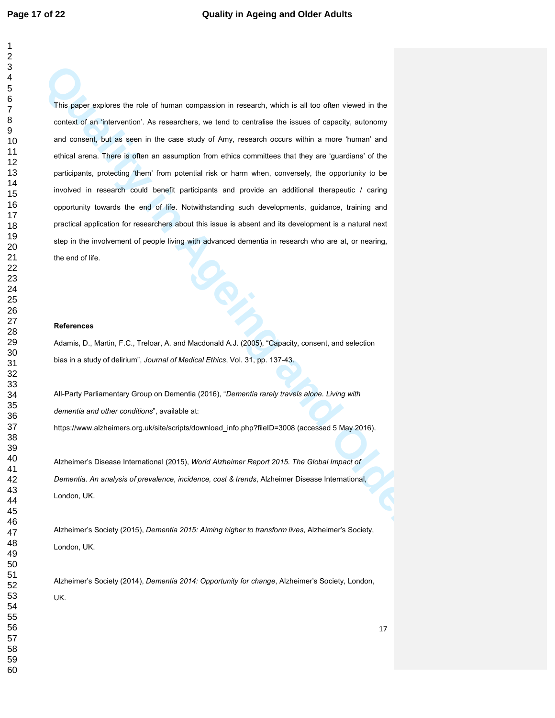This paper states the red of human composed in research, which is all the distinct veces in the properties of the states of cost of a states of cost of a state of the state of the state of the state of cost of a state of t This paper explores the role of human compassion in research, which is all too often viewed in the context of an 'intervention'. As researchers, we tend to centralise the issues of capacity, autonomy and consent, but as seen in the case study of Amy, research occurs within a more 'human' and ethical arena. There is often an assumption from ethics committees that they are 'guardians' of the participants, protecting 'them' from potential risk or harm when, conversely, the opportunity to be involved in research could benefit participants and provide an additional therapeutic / caring opportunity towards the end of life. Notwithstanding such developments, guidance, training and practical application for researchers about this issue is absent and its development is a natural next step in the involvement of people living with advanced dementia in research who are at, or nearing, the end of life.

# **References**

Adamis, D., Martin, F.C., Treloar, A. and Macdonald A.J. (2005), "Capacity, consent, and selection bias in a study of delirium", *Journal of Medical Ethics*, Vol. 31, pp. 137-43.

All-Party Parliamentary Group on Dementia (2016), "*Dementia rarely travels alone. Living with dementia and other conditions*", available at:

https://www.alzheimers.org.uk/site/scripts/download\_info.php?fileID=3008 (accessed 5 May 2016).

Alzheimer's Disease International (2015), *World Alzheimer Report 2015. The Global Impact of Dementia. An analysis of prevalence, incidence, cost & trends*, Alzheimer Disease International, London, UK.

Alzheimer's Society (2015), *Dementia 2015: Aiming higher to transform lives*, Alzheimer's Society, London, UK.

Alzheimer's Society (2014), *Dementia 2014: Opportunity for change*, Alzheimer's Society, London, UK.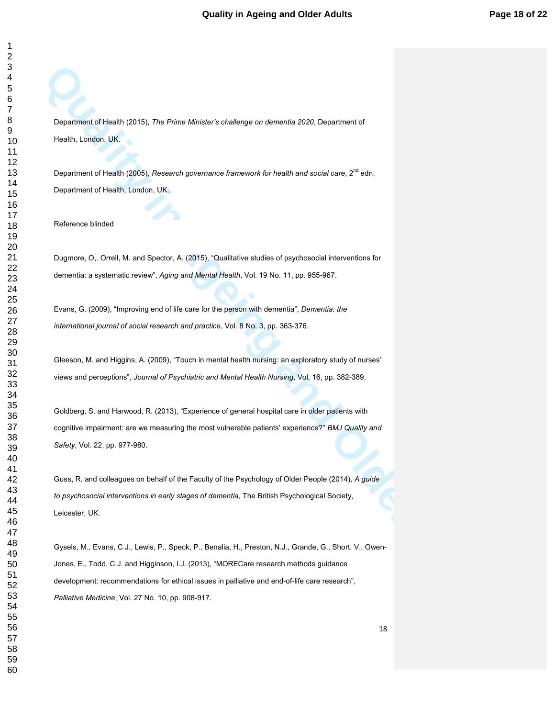Department of Health (2015), *The Prime Minister's challenge on dementia 2020*, Department of Health, London, UK.

Department of Health (2005), *Research governance framework for health and social care*, 2<sup>nd</sup> edn, Department of Health, London, UK.

Reference blinded

Dugmore, O,. Orrell, M. and Spector, A. (2015), "Qualitative studies of psychosocial interventions for dementia: a systematic review", *Aging and Mental Health*, Vol. 19 No. 11, pp. 955-967.

Evans, G. (2009), "Improving end of life care for the person with dementia", *Dementia: the international journal of social research and practice*, Vol. 8 No. 3, pp. 363-376.

Gleeson, M. and Higgins, A. (2009), "Touch in mental health nursing: an exploratory study of nurses' views and perceptions", *Journal of Psychiatric and Mental Health Nursing*, Vol. 16, pp. 382-389.

Goldberg, S. and Harwood, R. (2013), "Experience of general hospital care in older patients with cognitive impairment: are we measuring the most vulnerable patients' experience?" *BMJ Quality and Safety,* Vol. 22, pp. 977-980.

Guss, R. and colleagues on behalf of the Faculty of the Psychology of Older People (2014), *A guide to psychosocial interventions in early stages of dementia*, The British Psychological Society, Leicester, UK.

**Dearlines of Franch (COS)**, The Prime Minister's chankage on demande 2020. Depelment of Hamilton Edition Inc.<br>
Hamiltonian Chinach (2005), Reversibly powers on Enterstation Enterstand Consider Advised Chinach (2<sup>4</sup> editio Gysels, M., Evans, C.J., Lewis, P., Speck, P., Benalia, H., Preston, N.J., Grande, G., Short, V., Owen-Jones, E., Todd, C.J. and Higginson, I.J. (2013), "MORECare research methods guidance development: recommendations for ethical issues in palliative and end-of-life care research", *Palliative Medicine*, Vol. 27 No. 10, pp. 908-917.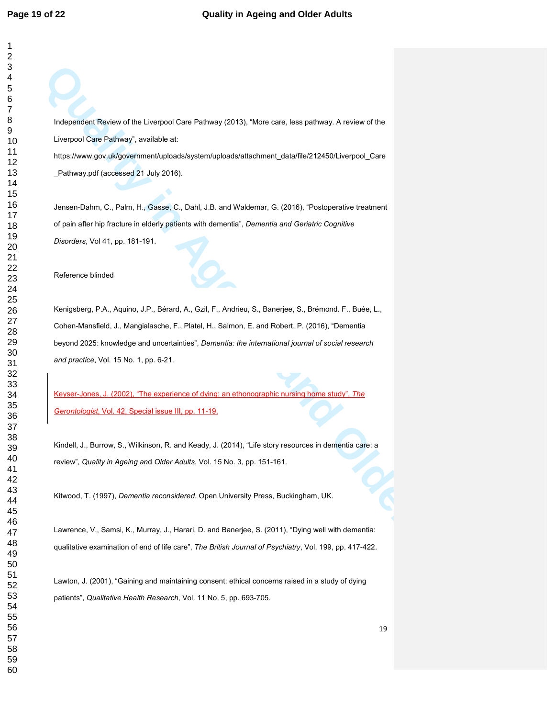Independent Review of the Liverpool Care Pathway (2013), "More care, less pathway. A review of the Liverpool Care Pathway", available at: https://www.gov.uk/government/uploads/system/uploads/attachment\_data/file/212450/Liverpool\_Care \_Pathway.pdf (accessed 21 July 2016).

Jensen-Dahm, C., Palm, H., Gasse, C., Dahl, J.B. and Waldemar, G. (2016), "Postoperative treatment of pain after hip fracture in elderly patients with dementia", *Dementia and Geriatric Cognitive Disorders*, Vol 41, pp. 181-191.

Reference blinded

**Melayerices: The law of the Liverpool Case Polineary (2015), Tuber over less politiesy.** A review of the Liverpool Case<br>
Liverpool Case Pathway: Distribute income and the proposition of the proposition of the state of the Kenigsberg, P.A., Aquino, J.P., Bérard, A., Gzil, F., Andrieu, S., Banerjee, S., Brémond. F., Buée, L., Cohen-Mansfield, J., Mangialasche, F., Platel, H., Salmon, E. and Robert, P. (2016), "Dementia beyond 2025: knowledge and uncertainties", *Dementia: the international journal of social research and practice*, Vol. 15 No. 1, pp. 6-21.

Keyser-Jones, J. (2002), "The experience of dying: an ethonographic nursing home study", *The Gerontologist*, Vol. 42, Special issue III, pp. 11-19.

Kindell, J., Burrow, S., Wilkinson, R. and Keady, J. (2014), "Life story resources in dementia care: a review", *Quality in Ageing an*d *Older Adults*, Vol. 15 No. 3, pp. 151-161.

Kitwood, T. (1997), *Dementia reconsidered*, Open University Press, Buckingham, UK.

Lawrence, V., Samsi, K., Murray, J., Harari, D. and Banerjee, S. (2011), "Dying well with dementia: qualitative examination of end of life care", *The British Journal of Psychiatry*, Vol. 199, pp. 417-422.

Lawton, J. (2001), "Gaining and maintaining consent: ethical concerns raised in a study of dying patients", *Qualitative Health Research*, Vol. 11 No. 5, pp. 693-705.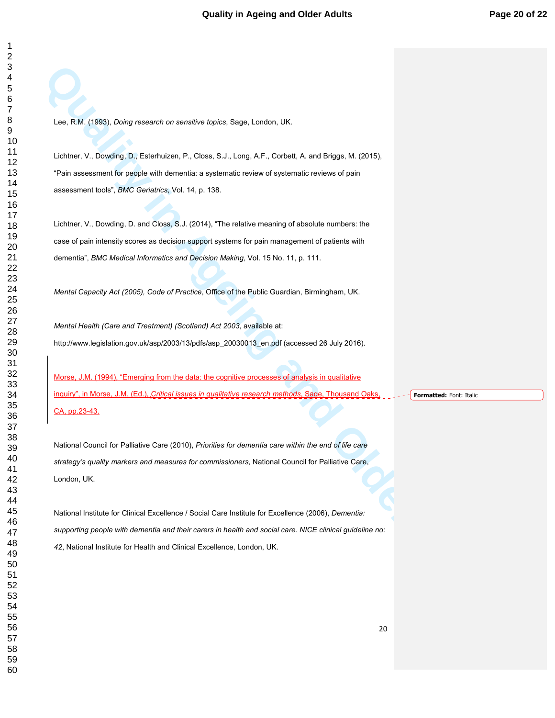Lee, R.M. (1993), *Doing research on sensitive topics*, Sage, London, UK.

Lichtner, V., Dowding, D., Esterhuizen, P., Closs, S.J., Long, A.F., Corbett, A. and Briggs, M. (2015), "Pain assessment for people with dementia: a systematic review of systematic reviews of pain assessment tools", *BMC Geriatrics*, Vol. 14, p. 138.

Lichtner, V., Dowding, D. and Closs, S.J. (2014), "The relative meaning of absolute numbers: the case of pain intensity scores as decision support systems for pain management of patients with dementia", *BMC Medical Informatics and Decision Making*, Vol. 15 No. 11, p. 111.

*Mental Capacity Act (2005), Code of Practice*, Office of the Public Guardian, Birmingham, UK.

*Mental Health (Care and Treatment) (Scotland) Act 2003*, available at: http://www.legislation.gov.uk/asp/2003/13/pdfs/asp\_20030013\_en.pdf (accessed 26 July 2016).

**Let**  $\pi$  (1983). Davy research or aereshw looks, Sage. London, UC<br>
Listman, V., Usedian, D., Listman, P., Civati, S.J., Listop. A., Listop. A., Listop. A., 2010).<br>
The research of the positive with develop and Care and C Morse, J.M. (1994), "Emerging from the data: the cognitive processes of analysis in qualitative inquiry", in Morse, J.M. (Ed.), *Critical issues in qualitative research methods*, Sage, Thousand Oaks, CA, pp.23-43. **Formatted:** Font: Italic

National Council for Palliative Care (2010), *Priorities for dementia care within the end of life care strategy's quality markers and measures for commissioners,* National Council for Palliative Care, London, UK.

National Institute for Clinical Excellence / Social Care Institute for Excellence (2006), *Dementia: supporting people with dementia and their carers in health and social care. NICE clinical guideline no:*  , National Institute for Health and Clinical Excellence, London, UK.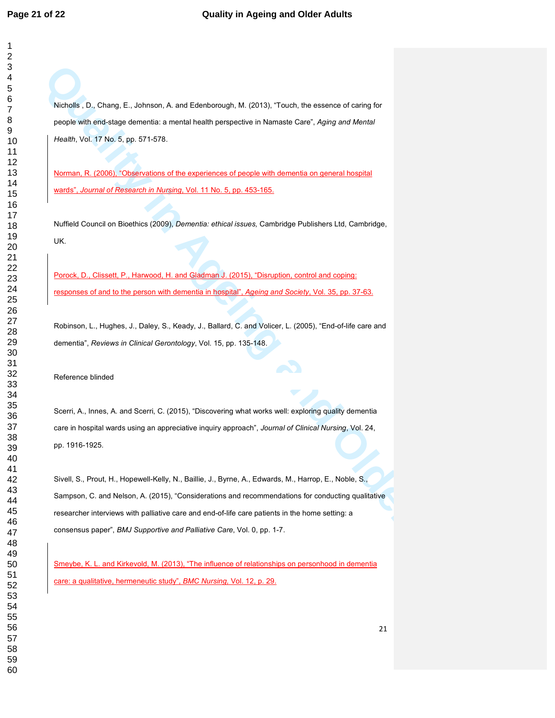Nicholls , D., Chang, E., Johnson, A. and Edenborough, M. (2013), "Touch, the essence of caring for people with end-stage dementia: a mental health perspective in Namaste Care", *Aging and Mental Health*, Vol. 17 No. 5, pp. 571-578.

Norman, R. (2006), "Observations of the experiences of people with dementia on general hospital wards", *Journal of Research in Nursing*, Vol. 11 No. 5, pp. 453-165.

Nuffield Council on Bioethics (2009), *Dementia: ethical issues,* Cambridge Publishers Ltd, Cambridge, UK.

Porock, D., Clissett, P., Harwood, H. and Gladman J. (2015), "Disruption, control and coping: responses of and to the person with dementia in hospital", *Ageing and Society*, Vol. 35, pp. 37-63.

Robinson, L., Hughes, J., Daley, S., Keady, J., Ballard, C. and Volicer, L. (2005), "End-of-life care and dementia", *Reviews in Clinical Gerontology*, Vol. 15, pp. 135-148.

Reference blinded

Scerri, A., Innes, A. and Scerri, C. (2015), "Discovering what works well: exploring quality dementia care in hospital wards using an appreciative inquiry approach", *Journal of Clinical Nursing*, Vol. 24, pp. 1916-1925.

**National C.** Charge E., Johnson, A. and Edenburghy, M. (2013). "Total, the ensence of caning for the state of the state and the state of the state and the state and the state and the state and Older Advised Const. Aging a Sivell, S., Prout, H., Hopewell-Kelly, N., Baillie, J., Byrne, A., Edwards, M., Harrop, E., Noble, S., Sampson, C. and Nelson, A. (2015), "Considerations and recommendations for conducting qualitative researcher interviews with palliative care and end-of-life care patients in the home setting: a consensus paper", *BMJ Supportive and Palliative Care*, Vol. 0, pp. 1-7.

Smeybe, K. L. and Kirkevold, M. (2013), "The influence of relationships on personhood in dementia care: a qualitative, hermeneutic study", *BMC Nursing,* Vol. 12, p. 29.